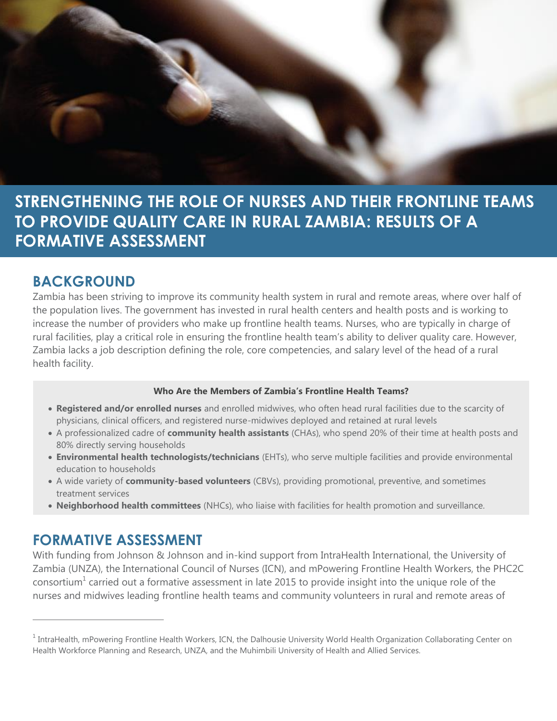

**STRENGTHENING THE ROLE OF NURSES AND THEIR FRONTLINE TEAMS TO PROVIDE QUALITY CARE IN RURAL ZAMBIA: RESULTS OF A FORMATIVE ASSESSMENT**

#### **BACKGROUND**

Zambia has been striving to improve its community health system in rural and remote areas, where over half of the population lives. The government has invested in rural health centers and health posts and is working to increase the number of providers who make up frontline health teams. Nurses, who are typically in charge of rural facilities, play a critical role in ensuring the frontline health team's ability to deliver quality care. However, Zambia lacks a job description defining the role, core competencies, and salary level of the head of a rural health facility.

#### **Who Are the Members of Zambia's Frontline Health Teams?**

- **Registered and/or enrolled nurses** and enrolled midwives, who often head rural facilities due to the scarcity of physicians, clinical officers, and registered nurse-midwives deployed and retained at rural levels
- A professionalized cadre of **community health assistants** (CHAs), who spend 20% of their time at health posts and 80% directly serving households
- **Environmental health technologists/technicians** (EHTs), who serve multiple facilities and provide environmental education to households
- A wide variety of **community-based volunteers** (CBVs), providing promotional, preventive, and sometimes treatment services
- **Neighborhood health committees** (NHCs), who liaise with facilities for health promotion and surveillance.

#### **FORMATIVE ASSESSMENT**

 $\overline{a}$ 

With funding from Johnson & Johnson and in-kind support from IntraHealth International, the University of Zambia (UNZA), the International Council of Nurses (ICN), and mPowering Frontline Health Workers, the PHC2C consortium<sup>1</sup> carried out a formative assessment in late 2015 to provide insight into the unique role of the nurses and midwives leading frontline health teams and community volunteers in rural and remote areas of

 $^1$  IntraHealth, mPowering Frontline Health Workers, ICN, the Dalhousie University World Health Organization Collaborating Center on Health Workforce Planning and Research, UNZA, and the Muhimbili University of Health and Allied Services.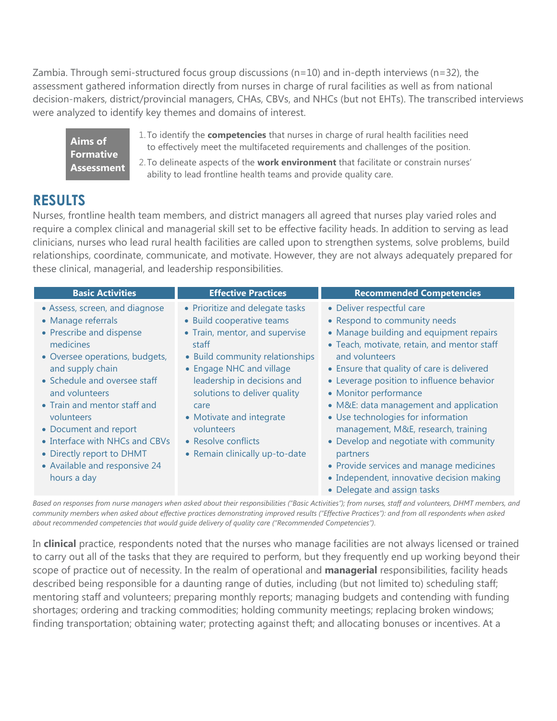Zambia. Through semi-structured focus group discussions (n=10) and in-depth interviews (n=32), the assessment gathered information directly from nurses in charge of rural facilities as well as from national decision-makers, district/provincial managers, CHAs, CBVs, and NHCs (but not EHTs). The transcribed interviews were analyzed to identify key themes and domains of interest.

**Aims of Formative Assessment** 1. To identify the **competencies** that nurses in charge of rural health facilities need to effectively meet the multifaceted requirements and challenges of the position.

2. To delineate aspects of the **work environment** that facilitate or constrain nurses' ability to lead frontline health teams and provide quality care.

#### **RESULTS**

Nurses, frontline health team members, and district managers all agreed that nurses play varied roles and require a complex clinical and managerial skill set to be effective facility heads. In addition to serving as lead clinicians, nurses who lead rural health facilities are called upon to strengthen systems, solve problems, build relationships, coordinate, communicate, and motivate. However, they are not always adequately prepared for these clinical, managerial, and leadership responsibilities.

| <b>Basic Activities</b>                                                                                                                                                                                                                                                                                                                                                      | <b>Effective Practices</b>                                                                                                                                                                                                                                                                                                                       | <b>Recommended Competencies</b>                                                                                                                                                                                                                                                                                                                                                                                                                                                                                   |
|------------------------------------------------------------------------------------------------------------------------------------------------------------------------------------------------------------------------------------------------------------------------------------------------------------------------------------------------------------------------------|--------------------------------------------------------------------------------------------------------------------------------------------------------------------------------------------------------------------------------------------------------------------------------------------------------------------------------------------------|-------------------------------------------------------------------------------------------------------------------------------------------------------------------------------------------------------------------------------------------------------------------------------------------------------------------------------------------------------------------------------------------------------------------------------------------------------------------------------------------------------------------|
| • Assess, screen, and diagnose<br>• Manage referrals<br>• Prescribe and dispense<br>medicines<br>• Oversee operations, budgets,<br>and supply chain<br>• Schedule and oversee staff<br>and volunteers<br>• Train and mentor staff and<br>volunteers<br>• Document and report<br>• Interface with NHCs and CBVs<br>• Directly report to DHMT<br>• Available and responsive 24 | • Prioritize and delegate tasks<br>• Build cooperative teams<br>• Train, mentor, and supervise<br>staff<br>• Build community relationships<br>• Engage NHC and village<br>leadership in decisions and<br>solutions to deliver quality<br>care<br>• Motivate and integrate<br>volunteers<br>• Resolve conflicts<br>• Remain clinically up-to-date | • Deliver respectful care<br>• Respond to community needs<br>• Manage building and equipment repairs<br>• Teach, motivate, retain, and mentor staff<br>and volunteers<br>• Ensure that quality of care is delivered<br>• Leverage position to influence behavior<br>• Monitor performance<br>• M&E: data management and application<br>• Use technologies for information<br>management, M&E, research, training<br>• Develop and negotiate with community<br>partners<br>• Provide services and manage medicines |
| hours a day                                                                                                                                                                                                                                                                                                                                                                  |                                                                                                                                                                                                                                                                                                                                                  | • Independent, innovative decision making<br>• Delegate and assign tasks                                                                                                                                                                                                                                                                                                                                                                                                                                          |

*Based on responses from nurse managers when asked about their responsibilities ("Basic Activities"); from nurses, staff and volunteers, DHMT members, and*  community members when asked about effective practices demonstrating improved results ("Effective Practices"): and from all respondents when asked *about recommended competencies that would guide delivery of quality care ("Recommended Competencies").*

In **clinical** practice, respondents noted that the nurses who manage facilities are not always licensed or trained to carry out all of the tasks that they are required to perform, but they frequently end up working beyond their scope of practice out of necessity. In the realm of operational and **managerial** responsibilities, facility heads described being responsible for a daunting range of duties, including (but not limited to) scheduling staff; mentoring staff and volunteers; preparing monthly reports; managing budgets and contending with funding shortages; ordering and tracking commodities; holding community meetings; replacing broken windows; finding transportation; obtaining water; protecting against theft; and allocating bonuses or incentives. At a